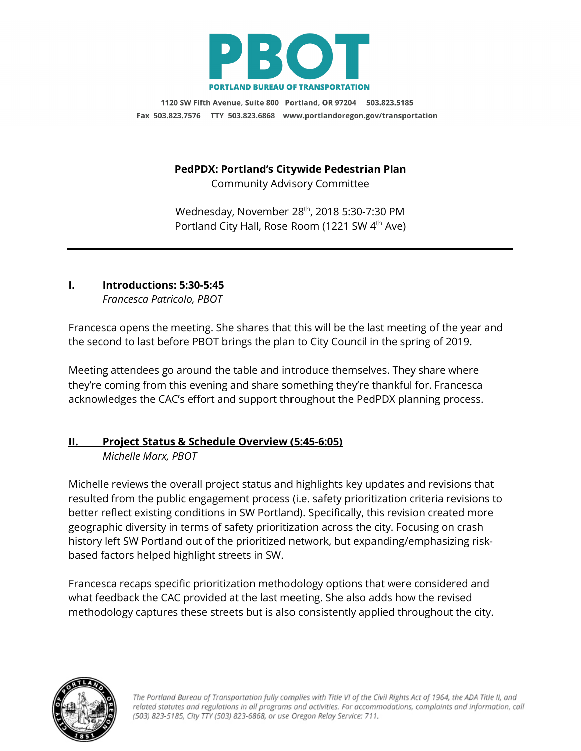

1120 SW Fifth Avenue, Suite 800 Portland, OR 97204 503.823.5185 Fax 503.823.7576 TTY 503.823.6868 www.portlandoregon.gov/transportation

### **PedPDX: Portland's Citywide Pedestrian Plan**

Community Advisory Committee

Wednesday, November 28<sup>th</sup>, 2018 5:30-7:30 PM Portland City Hall, Rose Room (1221 SW 4<sup>th</sup> Ave)

### **I. Introductions: 5:30-5:45**

*Francesca Patricolo, PBOT*

Francesca opens the meeting. She shares that this will be the last meeting of the year and the second to last before PBOT brings the plan to City Council in the spring of 2019.

Meeting attendees go around the table and introduce themselves. They share where they're coming from this evening and share something they're thankful for. Francesca acknowledges the CAC's effort and support throughout the PedPDX planning process.

### **II. Project Status & Schedule Overview (5:45-6:05)**

*Michelle Marx, PBOT*

Michelle reviews the overall project status and highlights key updates and revisions that resulted from the public engagement process (i.e. safety prioritization criteria revisions to better reflect existing conditions in SW Portland). Specifically, this revision created more geographic diversity in terms of safety prioritization across the city. Focusing on crash history left SW Portland out of the prioritized network, but expanding/emphasizing riskbased factors helped highlight streets in SW.

Francesca recaps specific prioritization methodology options that were considered and what feedback the CAC provided at the last meeting. She also adds how the revised methodology captures these streets but is also consistently applied throughout the city.

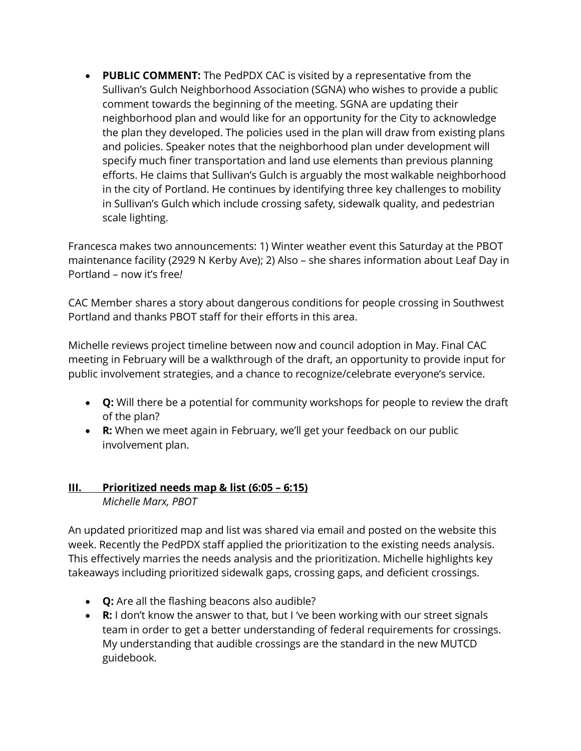• **PUBLIC COMMENT:** The PedPDX CAC is visited by a representative from the Sullivan's Gulch Neighborhood Association (SGNA) who wishes to provide a public comment towards the beginning of the meeting. SGNA are updating their neighborhood plan and would like for an opportunity for the City to acknowledge the plan they developed. The policies used in the plan will draw from existing plans and policies. Speaker notes that the neighborhood plan under development will specify much finer transportation and land use elements than previous planning efforts. He claims that Sullivan's Gulch is arguably the most walkable neighborhood in the city of Portland. He continues by identifying three key challenges to mobility in Sullivan's Gulch which include crossing safety, sidewalk quality, and pedestrian scale lighting.

Francesca makes two announcements: 1) Winter weather event this Saturday at the PBOT maintenance facility (2929 N Kerby Ave); 2) Also – she shares information about Leaf Day in Portland – now it's free*!*

CAC Member shares a story about dangerous conditions for people crossing in Southwest Portland and thanks PBOT staff for their efforts in this area.

Michelle reviews project timeline between now and council adoption in May. Final CAC meeting in February will be a walkthrough of the draft, an opportunity to provide input for public involvement strategies, and a chance to recognize/celebrate everyone's service.

- **Q:** Will there be a potential for community workshops for people to review the draft of the plan?
- **R:** When we meet again in February, we'll get your feedback on our public involvement plan.

### **III. Prioritized needs map & list (6:05 – 6:15)** *Michelle Marx, PBOT*

An updated prioritized map and list was shared via email and posted on the website this week. Recently the PedPDX staff applied the prioritization to the existing needs analysis. This effectively marries the needs analysis and the prioritization. Michelle highlights key takeaways including prioritized sidewalk gaps, crossing gaps, and deficient crossings.

- **Q:** Are all the flashing beacons also audible?
- **R:** I don't know the answer to that, but I 've been working with our street signals team in order to get a better understanding of federal requirements for crossings. My understanding that audible crossings are the standard in the new MUTCD guidebook.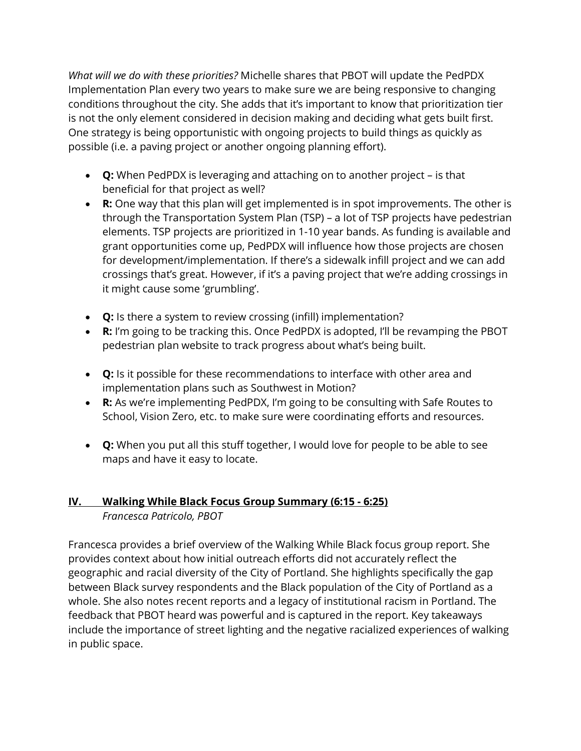*What will we do with these priorities?* Michelle shares that PBOT will update the PedPDX Implementation Plan every two years to make sure we are being responsive to changing conditions throughout the city. She adds that it's important to know that prioritization tier is not the only element considered in decision making and deciding what gets built first. One strategy is being opportunistic with ongoing projects to build things as quickly as possible (i.e. a paving project or another ongoing planning effort).

- **Q:** When PedPDX is leveraging and attaching on to another project is that beneficial for that project as well?
- **R:** One way that this plan will get implemented is in spot improvements. The other is through the Transportation System Plan (TSP) – a lot of TSP projects have pedestrian elements. TSP projects are prioritized in 1-10 year bands. As funding is available and grant opportunities come up, PedPDX will influence how those projects are chosen for development/implementation. If there's a sidewalk infill project and we can add crossings that's great. However, if it's a paving project that we're adding crossings in it might cause some 'grumbling'.
- **Q:** Is there a system to review crossing (infill) implementation?
- **R:** I'm going to be tracking this. Once PedPDX is adopted, I'll be revamping the PBOT pedestrian plan website to track progress about what's being built.
- **Q:** Is it possible for these recommendations to interface with other area and implementation plans such as Southwest in Motion?
- **R:** As we're implementing PedPDX, I'm going to be consulting with Safe Routes to School, Vision Zero, etc. to make sure were coordinating efforts and resources.
- **Q:** When you put all this stuff together, I would love for people to be able to see maps and have it easy to locate.

# **IV. Walking While Black Focus Group Summary (6:15 - 6:25)**

*Francesca Patricolo, PBOT*

Francesca provides a brief overview of the Walking While Black focus group report. She provides context about how initial outreach efforts did not accurately reflect the geographic and racial diversity of the City of Portland. She highlights specifically the gap between Black survey respondents and the Black population of the City of Portland as a whole. She also notes recent reports and a legacy of institutional racism in Portland. The feedback that PBOT heard was powerful and is captured in the report. Key takeaways include the importance of street lighting and the negative racialized experiences of walking in public space.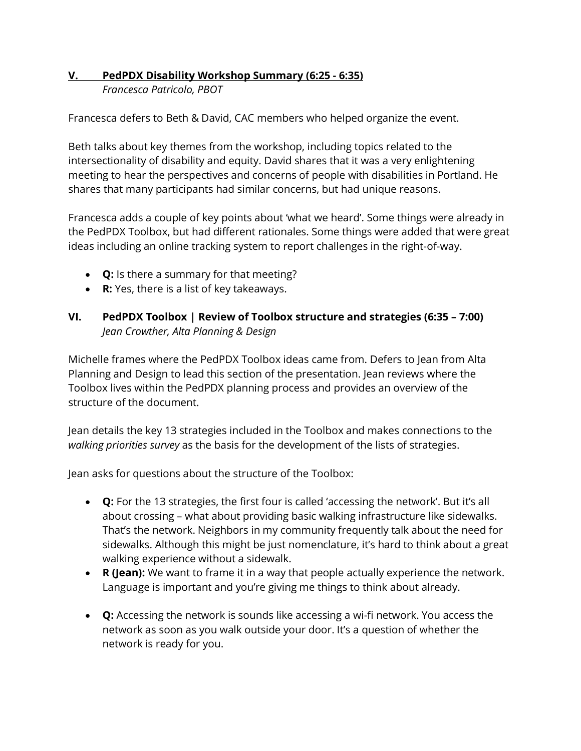## **V. PedPDX Disability Workshop Summary (6:25 - 6:35)**

*Francesca Patricolo, PBOT*

Francesca defers to Beth & David, CAC members who helped organize the event.

Beth talks about key themes from the workshop, including topics related to the intersectionality of disability and equity. David shares that it was a very enlightening meeting to hear the perspectives and concerns of people with disabilities in Portland. He shares that many participants had similar concerns, but had unique reasons.

Francesca adds a couple of key points about 'what we heard'. Some things were already in the PedPDX Toolbox, but had different rationales. Some things were added that were great ideas including an online tracking system to report challenges in the right-of-way.

- **Q:** Is there a summary for that meeting?
- **R:** Yes, there is a list of key takeaways.

### **VI. PedPDX Toolbox | Review of Toolbox structure and strategies (6:35 – 7:00)** *Jean Crowther, Alta Planning & Design*

Michelle frames where the PedPDX Toolbox ideas came from. Defers to Jean from Alta Planning and Design to lead this section of the presentation. Jean reviews where the Toolbox lives within the PedPDX planning process and provides an overview of the structure of the document.

Jean details the key 13 strategies included in the Toolbox and makes connections to the *walking priorities survey* as the basis for the development of the lists of strategies.

Jean asks for questions about the structure of the Toolbox:

- **Q:** For the 13 strategies, the first four is called 'accessing the network'. But it's all about crossing – what about providing basic walking infrastructure like sidewalks. That's the network. Neighbors in my community frequently talk about the need for sidewalks. Although this might be just nomenclature, it's hard to think about a great walking experience without a sidewalk.
- **R (Jean):** We want to frame it in a way that people actually experience the network. Language is important and you're giving me things to think about already.
- **Q:** Accessing the network is sounds like accessing a wi-fi network. You access the network as soon as you walk outside your door. It's a question of whether the network is ready for you.